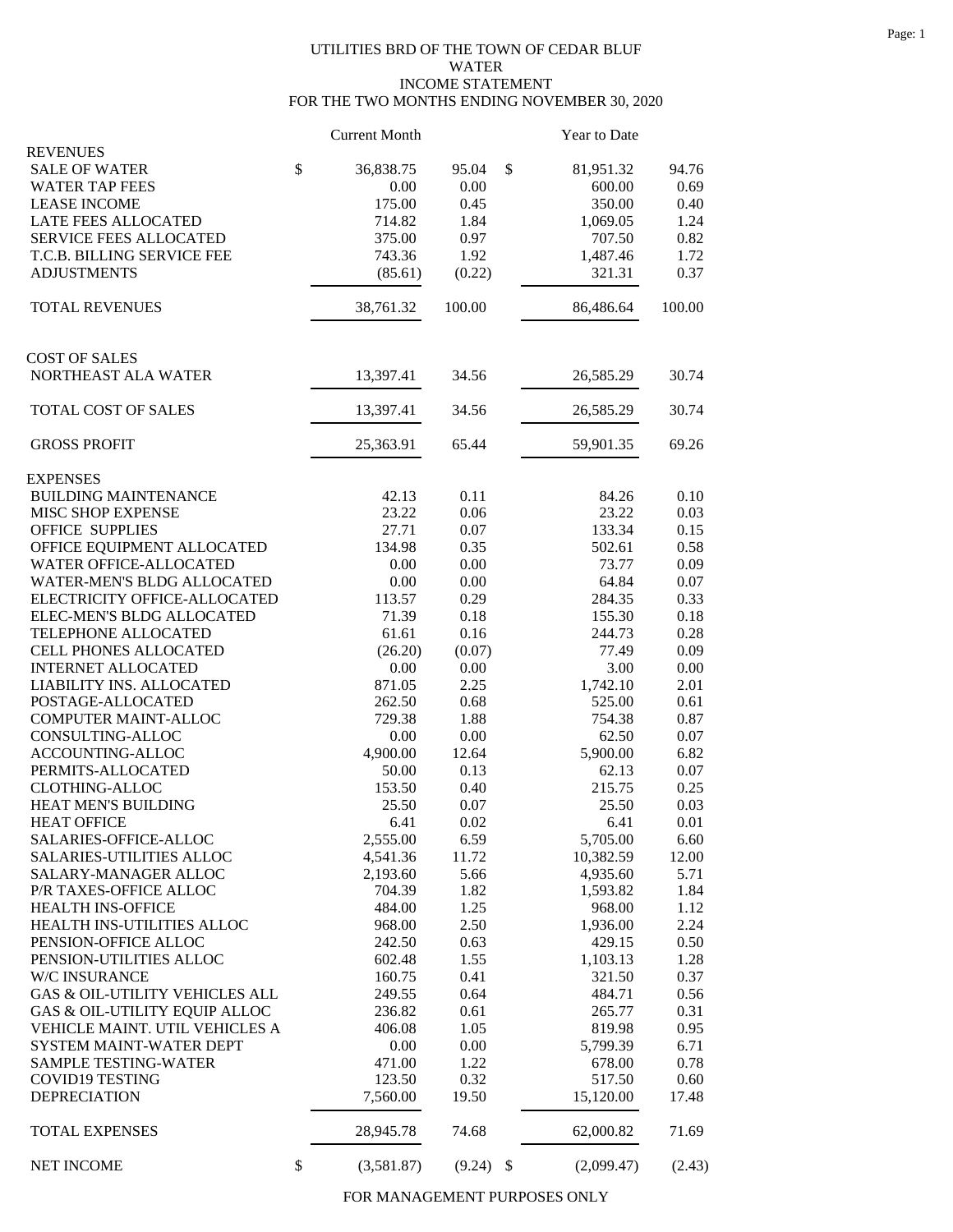## UTILITIES BRD OF THE TOWN OF CEDAR BLUF WATER INCOME STATEMENT FOR THE TWO MONTHS ENDING NOVEMBER 30, 2020

|                                           | <b>Current Month</b> |        | Year to Date     |          |
|-------------------------------------------|----------------------|--------|------------------|----------|
| <b>REVENUES</b><br><b>SALE OF WATER</b>   | \$<br>36,838.75      | 95.04  | \$<br>81,951.32  | 94.76    |
| <b>WATER TAP FEES</b>                     | 0.00                 | 0.00   | 600.00           | 0.69     |
| <b>LEASE INCOME</b>                       | 175.00               | 0.45   | 350.00           | 0.40     |
| LATE FEES ALLOCATED                       | 714.82               | 1.84   | 1,069.05         | 1.24     |
| SERVICE FEES ALLOCATED                    | 375.00               | 0.97   | 707.50           | 0.82     |
| T.C.B. BILLING SERVICE FEE                | 743.36               | 1.92   | 1,487.46         | 1.72     |
| <b>ADJUSTMENTS</b>                        | (85.61)              | (0.22) | 321.31           | 0.37     |
| <b>TOTAL REVENUES</b>                     | 38,761.32            | 100.00 | 86,486.64        | 100.00   |
|                                           |                      |        |                  |          |
| <b>COST OF SALES</b>                      |                      |        |                  |          |
| NORTHEAST ALA WATER                       | 13,397.41            | 34.56  | 26,585.29        | 30.74    |
| TOTAL COST OF SALES                       | 13,397.41            | 34.56  | 26,585.29        | 30.74    |
| <b>GROSS PROFIT</b>                       | 25,363.91            | 65.44  | 59,901.35        | 69.26    |
| <b>EXPENSES</b>                           |                      |        |                  |          |
| <b>BUILDING MAINTENANCE</b>               | 42.13                | 0.11   | 84.26            | 0.10     |
| MISC SHOP EXPENSE                         | 23.22                | 0.06   | 23.22            | 0.03     |
| <b>OFFICE SUPPLIES</b>                    | 27.71                | 0.07   | 133.34           | 0.15     |
| OFFICE EQUIPMENT ALLOCATED                | 134.98               | 0.35   | 502.61           | 0.58     |
| WATER OFFICE-ALLOCATED                    | 0.00                 | 0.00   | 73.77            | 0.09     |
| <b>WATER-MEN'S BLDG ALLOCATED</b>         | 0.00                 | 0.00   | 64.84            | 0.07     |
| ELECTRICITY OFFICE-ALLOCATED              | 113.57               | 0.29   | 284.35           | 0.33     |
| ELEC-MEN'S BLDG ALLOCATED                 | 71.39                | 0.18   | 155.30           | 0.18     |
| TELEPHONE ALLOCATED                       | 61.61                | 0.16   | 244.73           | 0.28     |
| <b>CELL PHONES ALLOCATED</b>              | (26.20)              | (0.07) | 77.49            | 0.09     |
| <b>INTERNET ALLOCATED</b>                 | 0.00                 | 0.00   | 3.00             | 0.00     |
| LIABILITY INS. ALLOCATED                  | 871.05               | 2.25   | 1,742.10         | 2.01     |
| POSTAGE-ALLOCATED                         | 262.50               | 0.68   | 525.00           | 0.61     |
| COMPUTER MAINT-ALLOC                      | 729.38               | 1.88   | 754.38           | 0.87     |
| CONSULTING-ALLOC                          | 0.00                 | 0.00   | 62.50            | $0.07\,$ |
| ACCOUNTING-ALLOC                          | 4,900.00             | 12.64  | 5,900.00         | 6.82     |
| PERMITS-ALLOCATED                         | 50.00                | 0.13   | 62.13            | 0.07     |
| <b>CLOTHING-ALLOC</b>                     | 153.50               | 0.40   | 215.75           | 0.25     |
| HEAT MEN'S BUILDING                       | 25.50                | 0.07   | 25.50            | 0.03     |
| <b>HEAT OFFICE</b>                        | 6.41                 | 0.02   | 6.41             | 0.01     |
| SALARIES-OFFICE-ALLOC                     | 2,555.00             | 6.59   | 5,705.00         | 6.60     |
| SALARIES-UTILITIES ALLOC                  | 4,541.36             | 11.72  | 10,382.59        | 12.00    |
| SALARY-MANAGER ALLOC                      | 2,193.60             | 5.66   | 4,935.60         | 5.71     |
| P/R TAXES-OFFICE ALLOC                    | 704.39               | 1.82   | 1,593.82         | 1.84     |
| <b>HEALTH INS-OFFICE</b>                  | 484.00               | 1.25   | 968.00           | 1.12     |
| HEALTH INS-UTILITIES ALLOC                | 968.00               | 2.50   | 1,936.00         | 2.24     |
| PENSION-OFFICE ALLOC                      | 242.50               | 0.63   | 429.15           | 0.50     |
| PENSION-UTILITIES ALLOC                   | 602.48               | 1.55   | 1,103.13         | 1.28     |
| W/C INSURANCE                             | 160.75               | 0.41   | 321.50           | 0.37     |
| <b>GAS &amp; OIL-UTILITY VEHICLES ALL</b> | 249.55               | 0.64   | 484.71           | 0.56     |
| GAS & OIL-UTILITY EQUIP ALLOC             | 236.82               | 0.61   | 265.77           | 0.31     |
| VEHICLE MAINT. UTIL VEHICLES A            | 406.08               | 1.05   | 819.98           | 0.95     |
| SYSTEM MAINT-WATER DEPT                   | 0.00                 | 0.00   | 5,799.39         | 6.71     |
| SAMPLE TESTING-WATER                      | 471.00               | 1.22   | 678.00           | 0.78     |
| <b>COVID19 TESTING</b>                    | 123.50               | 0.32   | 517.50           | 0.60     |
| DEPRECIATION                              | 7,560.00             | 19.50  | 15,120.00        | 17.48    |
| <b>TOTAL EXPENSES</b>                     | 28,945.78            | 74.68  | 62,000.82        | 71.69    |
| <b>NET INCOME</b>                         | \$<br>(3,581.87)     | (9.24) | \$<br>(2,099.47) | (2.43)   |

FOR MANAGEMENT PURPOSES ONLY